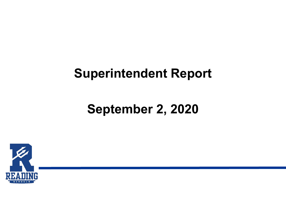### **Superintendent Report**

### **September 2, 2020**

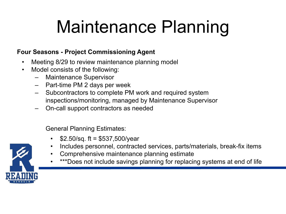# Maintenance Planning

#### **Four Seasons - Project Commissioning Agent**

- Meeting 8/29 to review maintenance planning model
- Model consists of the following:
	- Maintenance Supervisor
	- Part-time PM 2 days per week
	- Subcontractors to complete PM work and required system inspections/monitoring, managed by Maintenance Supervisor
	- On-call support contractors as needed

General Planning Estimates:

- $$2.50/sq.$  ft = \$537,500/year
- Includes personnel, contracted services, parts/materials, break-fix items
- Comprehensive maintenance planning estimate
- \*\*\*Does not include savings planning for replacing systems at end of life

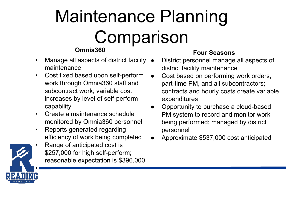# Maintenance Planning **Comparison**

#### **Omnia360**

- Manage all aspects of district facility maintenance
- Cost fixed based upon self-perform work through Omnia360 staff and subcontract work; variable cost increases by level of self-perform capability
- Create a maintenance schedule monitored by Omnia360 personnel
- Reports generated regarding efficiency of work being completed
- Range of anticipated cost is \$257,000 for high self-perform; reasonable expectation is \$396,000

#### **Four Seasons**

- District personnel manage all aspects of district facility maintenance
- Cost based on performing work orders, part-time PM, and all subcontractors; contracts and hourly costs create variable expenditures
- Opportunity to purchase a cloud-based PM system to record and monitor work being performed; managed by district personnel
- Approximate \$537,000 cost anticipated

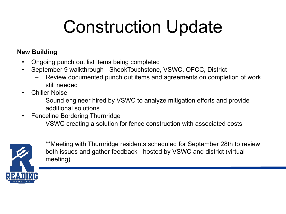# Construction Update

#### **New Building**

- Ongoing punch out list items being completed
- September 9 walkthrough ShookTouchstone, VSWC, OFCC, District
	- Review documented punch out items and agreements on completion of work still needed
- Chiller Noise
	- Sound engineer hired by VSWC to analyze mitigation efforts and provide additional solutions
- Fenceline Bordering Thurnridge
	- VSWC creating a solution for fence construction with associated costs



\*\*Meeting with Thurnridge residents scheduled for September 28th to review both issues and gather feedback - hosted by VSWC and district (virtual meeting)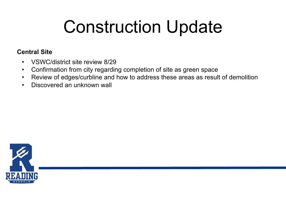# Construction Update

#### **Central Site**

- VSWC/district site review 8/29
- Confirmation from city regarding completion of site as green space
- Review of edges/curbline and how to address these areas as result of demolition
- Discovered an unknown wall

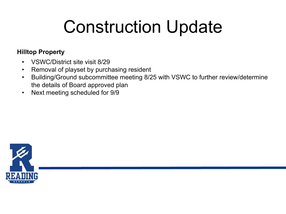# Construction Update

#### **Hilltop Property**

- VSWC/District site visit 8/29
- Removal of playset by purchasing resident
- Building/Ground subcommittee meeting 8/25 with VSWC to further review/determine the details of Board approved plan
- Next meeting scheduled for 9/9

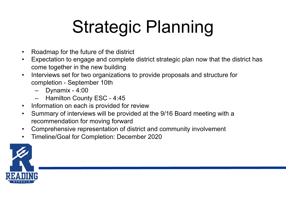# Strategic Planning

- Roadmap for the future of the district
- Expectation to engage and complete district strategic plan now that the district has come together in the new building
- Interviews set for two organizations to provide proposals and structure for completion - September 10th
	- Dynamix 4:00
	- Hamilton County ESC 4:45
- Information on each is provided for review
- Summary of interviews will be provided at the 9/16 Board meeting with a recommendation for moving forward
- Comprehensive representation of district and community involvement
- Timeline/Goal for Completion: December 2020

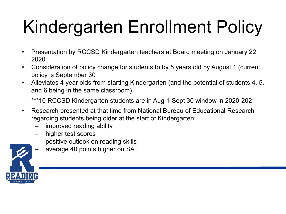# Kindergarten Enrollment Policy

- Presentation by RCCSD Kindergarten teachers at Board meeting on January 22, 2020
- Consideration of policy change for students to by 5 years old by August 1 (current policy is September 30
- Alleviates 4 year olds from starting Kindergarten (and the potential of students 4, 5, and 6 being in the same classroom)

\*\*\*10 RCCSD Kindergarten students are in Aug 1-Sept 30 window in 2020-2021

- Research presented at that time from National Bureau of Educational Research regarding students being older at the start of Kindergarten:
	- improved reading ability
	- higher test scores
	- positive outlook on reading skills
	- average 40 points higher on SAT

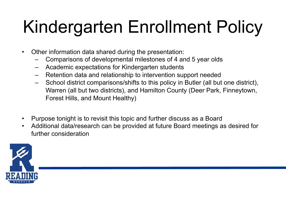# Kindergarten Enrollment Policy

- Other information data shared during the presentation:
	- Comparisons of developmental milestones of 4 and 5 year olds
	- Academic expectations for Kindergarten students
	- Retention data and relationship to intervention support needed
	- School district comparisons/shifts to this policy in Butler (all but one district), Warren (all but two districts), and Hamilton County (Deer Park, Finneytown, Forest Hills, and Mount Healthy)
- Purpose tonight is to revisit this topic and further discuss as a Board
- Additional data/research can be provided at future Board meetings as desired for further consideration

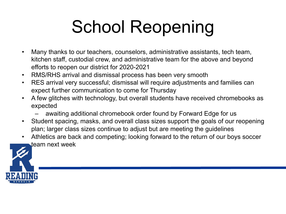# School Reopening

- Many thanks to our teachers, counselors, administrative assistants, tech team, kitchen staff, custodial crew, and administrative team for the above and beyond efforts to reopen our district for 2020-2021
- RMS/RHS arrival and dismissal process has been very smooth
- RES arrival very successful; dismissal will require adjustments and families can expect further communication to come for Thursday
- A few glitches with technology, but overall students have received chromebooks as expected
	- awaiting additional chromebook order found by Forward Edge for us
- Student spacing, masks, and overall class sizes support the goals of our reopening plan; larger class sizes continue to adjust but are meeting the guidelines
- Athletics are back and competing; looking forward to the return of our boys soccer team next week

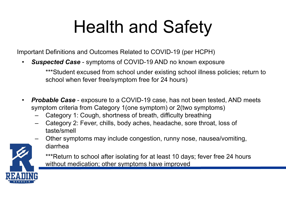# Health and Safety

Important Definitions and Outcomes Related to COVID-19 (per HCPH)

• *Suspected Case* - symptoms of COVID-19 AND no known exposure

\*\*\*Student excused from school under existing school illness policies; return to school when fever free/symptom free for 24 hours)

- *Probable Case* exposure to a COVID-19 case, has not been tested, AND meets symptom criteria from Category 1(one symptom) or 2(two symptoms)
	- Category 1: Cough, shortness of breath, difficulty breathing
	- Category 2: Fever, chills, body aches, headache, sore throat, loss of taste/smell
	- Other symptoms may include congestion, runny nose, nausea/vomiting, diarrhea



\*\*\*Return to school after isolating for at least 10 days; fever free 24 hours without medication; other symptoms have improved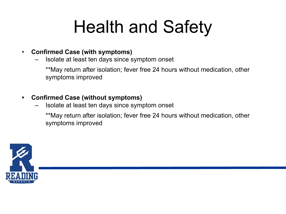### Health and Safety

#### • **Confirmed Case (with symptoms)**

– Isolate at least ten days since symptom onset

\*\*May return after isolation; fever free 24 hours without medication, other symptoms improved

#### **• Confirmed Case (without symptoms)**

– Isolate at least ten days since symptom onset

\*\*May return after isolation; fever free 24 hours without medication, other symptoms improved